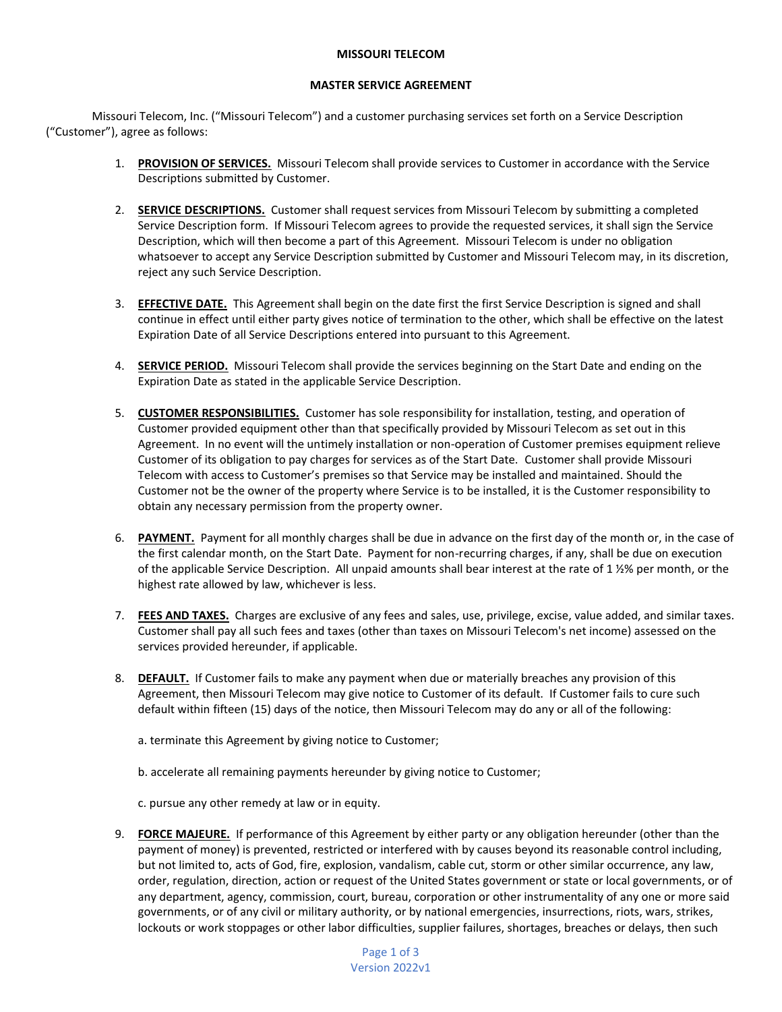## **MISSOURI TELECOM**

## **MASTER SERVICE AGREEMENT**

Missouri Telecom, Inc. ("Missouri Telecom") and a customer purchasing services set forth on a Service Description ("Customer"), agree as follows:

- 1. **PROVISION OF SERVICES.** Missouri Telecom shall provide services to Customer in accordance with the Service Descriptions submitted by Customer.
- 2. **SERVICE DESCRIPTIONS.** Customer shall request services from Missouri Telecom by submitting a completed Service Description form. If Missouri Telecom agrees to provide the requested services, it shall sign the Service Description, which will then become a part of this Agreement. Missouri Telecom is under no obligation whatsoever to accept any Service Description submitted by Customer and Missouri Telecom may, in its discretion, reject any such Service Description.
- 3. **EFFECTIVE DATE.** This Agreement shall begin on the date first the first Service Description is signed and shall continue in effect until either party gives notice of termination to the other, which shall be effective on the latest Expiration Date of all Service Descriptions entered into pursuant to this Agreement.
- 4. **SERVICE PERIOD.** Missouri Telecom shall provide the services beginning on the Start Date and ending on the Expiration Date as stated in the applicable Service Description.
- 5. **CUSTOMER RESPONSIBILITIES.** Customer has sole responsibility for installation, testing, and operation of Customer provided equipment other than that specifically provided by Missouri Telecom as set out in this Agreement. In no event will the untimely installation or non-operation of Customer premises equipment relieve Customer of its obligation to pay charges for services as of the Start Date. Customer shall provide Missouri Telecom with access to Customer's premises so that Service may be installed and maintained. Should the Customer not be the owner of the property where Service is to be installed, it is the Customer responsibility to obtain any necessary permission from the property owner.
- 6. **PAYMENT.** Payment for all monthly charges shall be due in advance on the first day of the month or, in the case of the first calendar month, on the Start Date. Payment for non-recurring charges, if any, shall be due on execution of the applicable Service Description. All unpaid amounts shall bear interest at the rate of 1 ½% per month, or the highest rate allowed by law, whichever is less.
- 7. **FEES AND TAXES.** Charges are exclusive of any fees and sales, use, privilege, excise, value added, and similar taxes. Customer shall pay all such fees and taxes (other than taxes on Missouri Telecom's net income) assessed on the services provided hereunder, if applicable.
- 8. **DEFAULT.** If Customer fails to make any payment when due or materially breaches any provision of this Agreement, then Missouri Telecom may give notice to Customer of its default. If Customer fails to cure such default within fifteen (15) days of the notice, then Missouri Telecom may do any or all of the following:
	- a. terminate this Agreement by giving notice to Customer;
	- b. accelerate all remaining payments hereunder by giving notice to Customer;
	- c. pursue any other remedy at law or in equity.
- 9. **FORCE MAJEURE.** If performance of this Agreement by either party or any obligation hereunder (other than the payment of money) is prevented, restricted or interfered with by causes beyond its reasonable control including, but not limited to, acts of God, fire, explosion, vandalism, cable cut, storm or other similar occurrence, any law, order, regulation, direction, action or request of the United States government or state or local governments, or of any department, agency, commission, court, bureau, corporation or other instrumentality of any one or more said governments, or of any civil or military authority, or by national emergencies, insurrections, riots, wars, strikes, lockouts or work stoppages or other labor difficulties, supplier failures, shortages, breaches or delays, then such

Page 1 of 3 Version 2022v1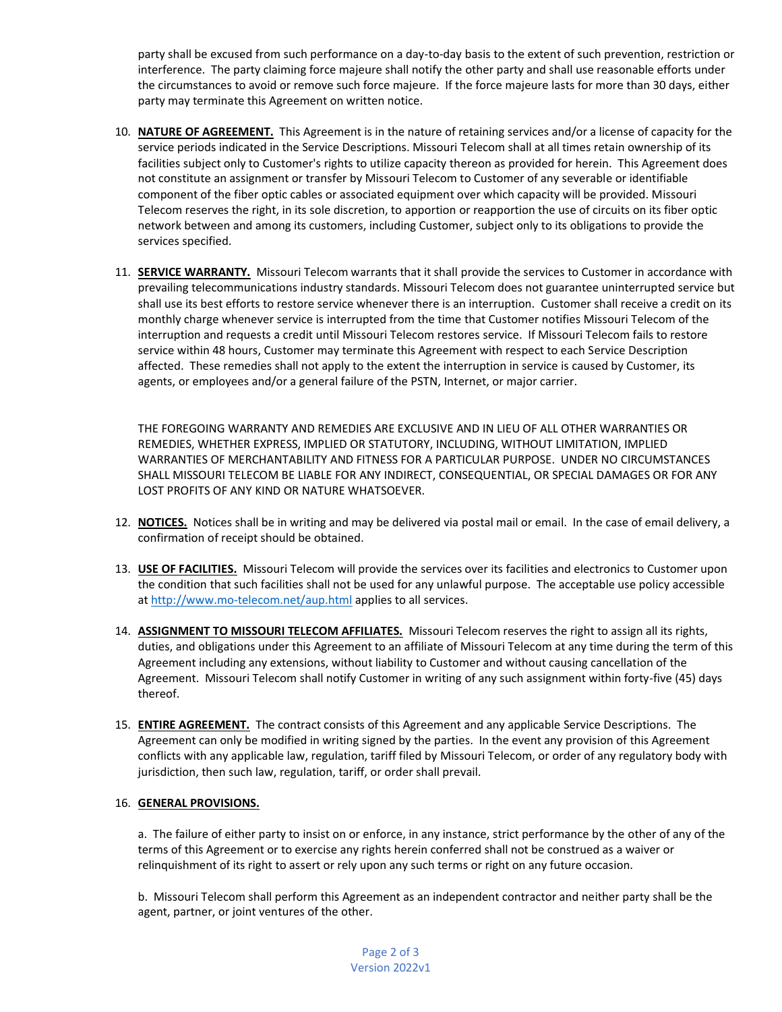party shall be excused from such performance on a day-to-day basis to the extent of such prevention, restriction or interference. The party claiming force majeure shall notify the other party and shall use reasonable efforts under the circumstances to avoid or remove such force majeure. If the force majeure lasts for more than 30 days, either party may terminate this Agreement on written notice.

- 10. **NATURE OF AGREEMENT.** This Agreement is in the nature of retaining services and/or a license of capacity for the service periods indicated in the Service Descriptions. Missouri Telecom shall at all times retain ownership of its facilities subject only to Customer's rights to utilize capacity thereon as provided for herein. This Agreement does not constitute an assignment or transfer by Missouri Telecom to Customer of any severable or identifiable component of the fiber optic cables or associated equipment over which capacity will be provided. Missouri Telecom reserves the right, in its sole discretion, to apportion or reapportion the use of circuits on its fiber optic network between and among its customers, including Customer, subject only to its obligations to provide the services specified.
- 11. **SERVICE WARRANTY.** Missouri Telecom warrants that it shall provide the services to Customer in accordance with prevailing telecommunications industry standards. Missouri Telecom does not guarantee uninterrupted service but shall use its best efforts to restore service whenever there is an interruption. Customer shall receive a credit on its monthly charge whenever service is interrupted from the time that Customer notifies Missouri Telecom of the interruption and requests a credit until Missouri Telecom restores service. If Missouri Telecom fails to restore service within 48 hours, Customer may terminate this Agreement with respect to each Service Description affected. These remedies shall not apply to the extent the interruption in service is caused by Customer, its agents, or employees and/or a general failure of the PSTN, Internet, or major carrier.

THE FOREGOING WARRANTY AND REMEDIES ARE EXCLUSIVE AND IN LIEU OF ALL OTHER WARRANTIES OR REMEDIES, WHETHER EXPRESS, IMPLIED OR STATUTORY, INCLUDING, WITHOUT LIMITATION, IMPLIED WARRANTIES OF MERCHANTABILITY AND FITNESS FOR A PARTICULAR PURPOSE. UNDER NO CIRCUMSTANCES SHALL MISSOURI TELECOM BE LIABLE FOR ANY INDIRECT, CONSEQUENTIAL, OR SPECIAL DAMAGES OR FOR ANY LOST PROFITS OF ANY KIND OR NATURE WHATSOEVER.

- 12. **NOTICES.** Notices shall be in writing and may be delivered via postal mail or email. In the case of email delivery, a confirmation of receipt should be obtained.
- 13. **USE OF FACILITIES.** Missouri Telecom will provide the services over its facilities and electronics to Customer upon the condition that such facilities shall not be used for any unlawful purpose. The acceptable use policy accessible a[t http://www.mo-telecom.net/aup.html](http://www.mo-telecom.net/aup.html) applies to all services.
- 14. **ASSIGNMENT TO MISSOURI TELECOM AFFILIATES.** Missouri Telecom reserves the right to assign all its rights, duties, and obligations under this Agreement to an affiliate of Missouri Telecom at any time during the term of this Agreement including any extensions, without liability to Customer and without causing cancellation of the Agreement. Missouri Telecom shall notify Customer in writing of any such assignment within forty-five (45) days thereof.
- 15. **ENTIRE AGREEMENT.** The contract consists of this Agreement and any applicable Service Descriptions. The Agreement can only be modified in writing signed by the parties. In the event any provision of this Agreement conflicts with any applicable law, regulation, tariff filed by Missouri Telecom, or order of any regulatory body with jurisdiction, then such law, regulation, tariff, or order shall prevail.

## 16. **GENERAL PROVISIONS.**

a. The failure of either party to insist on or enforce, in any instance, strict performance by the other of any of the terms of this Agreement or to exercise any rights herein conferred shall not be construed as a waiver or relinquishment of its right to assert or rely upon any such terms or right on any future occasion.

b. Missouri Telecom shall perform this Agreement as an independent contractor and neither party shall be the agent, partner, or joint ventures of the other.